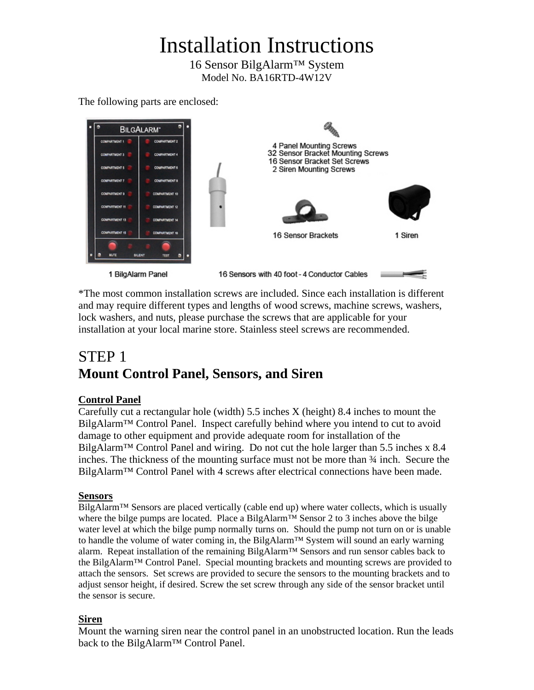# Installation Instructions

16 Sensor BilgAlarm™ System Model No. BA16RTD-4W12V

The following parts are enclosed:



\*The most common installation screws are included. Since each installation is different and may require different types and lengths of wood screws, machine screws, washers, lock washers, and nuts, please purchase the screws that are applicable for your installation at your local marine store. Stainless steel screws are recommended.

## STEP 1 **Mount Control Panel, Sensors, and Siren**

### **Control Panel**

Carefully cut a rectangular hole (width) 5.5 inches X (height) 8.4 inches to mount the BilgAlarm™ Control Panel. Inspect carefully behind where you intend to cut to avoid damage to other equipment and provide adequate room for installation of the BilgAlarm<sup>™</sup> Control Panel and wiring. Do not cut the hole larger than 5.5 inches x 8.4 inches. The thickness of the mounting surface must not be more than ¾ inch. Secure the BilgAlarm™ Control Panel with 4 screws after electrical connections have been made.

### **Sensors**

BilgAlarm™ Sensors are placed vertically (cable end up) where water collects, which is usually where the bilge pumps are located. Place a BilgAlarm<sup>™</sup> Sensor 2 to 3 inches above the bilge water level at which the bilge pump normally turns on. Should the pump not turn on or is unable to handle the volume of water coming in, the BilgAlarm™ System will sound an early warning alarm. Repeat installation of the remaining BilgAlarm™ Sensors and run sensor cables back to the BilgAlarm™ Control Panel. Special mounting brackets and mounting screws are provided to attach the sensors. Set screws are provided to secure the sensors to the mounting brackets and to adjust sensor height, if desired. Screw the set screw through any side of the sensor bracket until the sensor is secure.

### **Siren**

Mount the warning siren near the control panel in an unobstructed location. Run the leads back to the BilgAlarm™ Control Panel.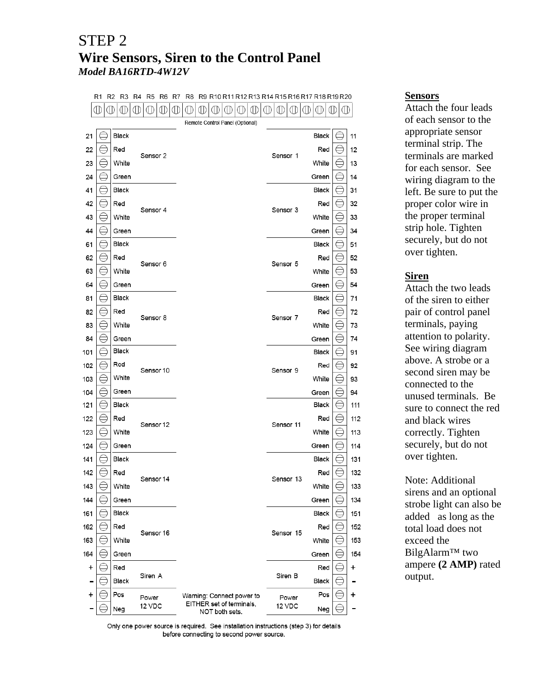### STEP 2 **Wire Sensors, Siren to the Control Panel**  *Model BA16RTD-4W12V*

R1 R2 R3 R4 R5 R6 R7 R8 R9 R10 R11 R12 R13 R14 R15 R16 R17 R18 R19 R20  $\mathbb{O}[\mathbb{O}[\mathbb{O}$  $\mathbb{O}$  $\mathbb{O}$  $| \mathbb{D} | \mathbb{D} |$  $\mathbb{O}$  $\mathbb{O}[\mathbb{O}[\mathbb{O}[\mathbb{O}[\mathbb{O}[\mathbb{O}$  $\mathbb{O}$  $\mathbb{D}$ | $\mathbb{D}$  $\mathbb{O}$  $\mathbb{D}$  $\mathbb{O}$  $\mathbb{D}$ Remote Control Panel (Optional)  $\ominus$  $\ominus$ Black Black 21  $11$  $\ominus$  $\ominus$ Red Red  $12$ 22 Sensor<sub>2</sub> Sensor 1  $\ominus$  $\ominus$ White 23 White  $13$  $\ominus$ Green Green  $\ominus$ 24  $14$  $\ominus$ Black Black  $\ominus$  $31$  $41$  $\ominus$  $\ominus$ 42 Red Red 32 Sensor 4 Sensor 3  $\ominus$  $\ominus$ White 33 43 White  $\ominus$  $\ominus$ 44 Green Green 34  $\ominus$  $\ominus$ Black **Black** 51 61  $\ominus$  $\ominus$ 62 Red Red 52 Sensor 5 Sensor 6  $\ominus$  $\ominus$ White 53 63 White  $\ominus$  $\ominus$ Green 54 64 Green  $\ominus$ Black Black  $\ominus$  $71$ 81  $\ominus$  $\ominus$ Red Red 72 82 Sensor 8 Sensor 7  $\ominus$  $\ominus$ 83 White White 73  $\ominus$  $\ominus$ Green 74 84 Green  $\ominus$ Black  $\ominus$ 101 **Black** 91  $\ominus$ Red  $\ominus$ 102 Red 92 Sensor 10 Sensor 9  $\ominus$ White  $\ominus$ 103 White 93  $104$ ⊜ Green Green  $\ominus$ 94  $\ominus$  $\ominus$ 121 Black Black 111  $\ominus$  $\ominus$ Red Red 112 122 Sensor 12 Sensor 11  $\ominus$ White  $\ominus$ White 113 123  $\ominus$  $\ominus$ Green 114 124 Green  $\ominus$  $\ominus$ Black Black 131 141  $\ominus$  $\ominus$ 142 Red Red 132 Sensor 14 Sensor 13  $\ominus$  $\ominus$ White 133 143 White  $\ominus$  $\ominus$ 144 Green Green 134  $\ominus$  $\ominus$ Black Black 151 161  $\ominus$ Red  $\ominus$ 162 Red 152 Sensor 15 Sensor 16  $\ominus$  $\ominus$ White 153 163 White  $\ominus$  $\ominus$ Green 154 164 Green  $\ominus$ Red  $\ominus$  $\ddot{}$ Red  $\ddot{+}$ Siren B Siren A  $\ominus$ Black  $\ominus$ **Black**  $\overline{\phantom{0}}$ ٠ € Pos  $\ddot{}$ Pos  $\ominus$  $\ddot{}$ Warning: Connect power to Power Power EITHER set of terminals. 12 VDC 12 VDC  $\ominus$ ⊜ Neg Neg  $\overline{a}$ NOT both sets.

**Sensors**

Attach the four leads of each sensor to the appropriate sensor terminal strip. The terminals are marked for each sensor. See wiring diagram to the left. Be sure to put the proper color wire in the proper terminal strip hole. Tighten securely, but do not over tighten.

#### **Siren**

Attach the two leads of the siren to either pair of control panel terminals, paying attention to polarity. See wiring diagram above. A strobe or a second siren may be connected to the unused terminals. Be sure to connect the red and black wires correctly. Tighten securely, but do not over tighten.

Note: Additional sirens and an optional strobe light can also be added as long as the total load does not exceed the BilgAlarm™ two ampere **(2 AMP)** rated output.

Only one power source is required. See installation instructions (step 3) for details before connecting to second power source.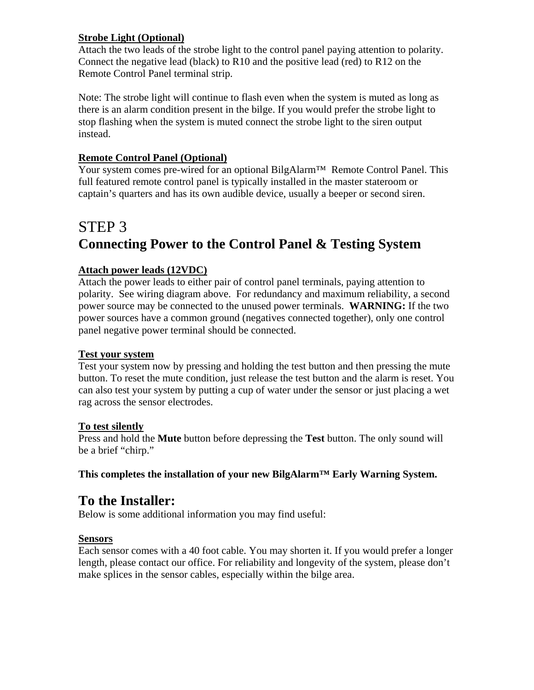### **Strobe Light (Optional)**

Attach the two leads of the strobe light to the control panel paying attention to polarity. Connect the negative lead (black) to R10 and the positive lead (red) to R12 on the Remote Control Panel terminal strip.

Note: The strobe light will continue to flash even when the system is muted as long as there is an alarm condition present in the bilge. If you would prefer the strobe light to stop flashing when the system is muted connect the strobe light to the siren output instead.

### **Remote Control Panel (Optional)**

Your system comes pre-wired for an optional BilgAlarm™ Remote Control Panel. This full featured remote control panel is typically installed in the master stateroom or captain's quarters and has its own audible device, usually a beeper or second siren.

# STEP 3 **Connecting Power to the Control Panel & Testing System**

### **Attach power leads (12VDC)**

Attach the power leads to either pair of control panel terminals, paying attention to polarity. See wiring diagram above. For redundancy and maximum reliability, a second power source may be connected to the unused power terminals. **WARNING:** If the two power sources have a common ground (negatives connected together), only one control panel negative power terminal should be connected.

### **Test your system**

Test your system now by pressing and holding the test button and then pressing the mute button. To reset the mute condition, just release the test button and the alarm is reset. You can also test your system by putting a cup of water under the sensor or just placing a wet rag across the sensor electrodes.

### **To test silently**

Press and hold the **Mute** button before depressing the **Test** button. The only sound will be a brief "chirp."

**This completes the installation of your new BilgAlarm™ Early Warning System.** 

### **To the Installer:**

Below is some additional information you may find useful:

### **Sensors**

Each sensor comes with a 40 foot cable. You may shorten it. If you would prefer a longer length, please contact our office. For reliability and longevity of the system, please don't make splices in the sensor cables, especially within the bilge area.